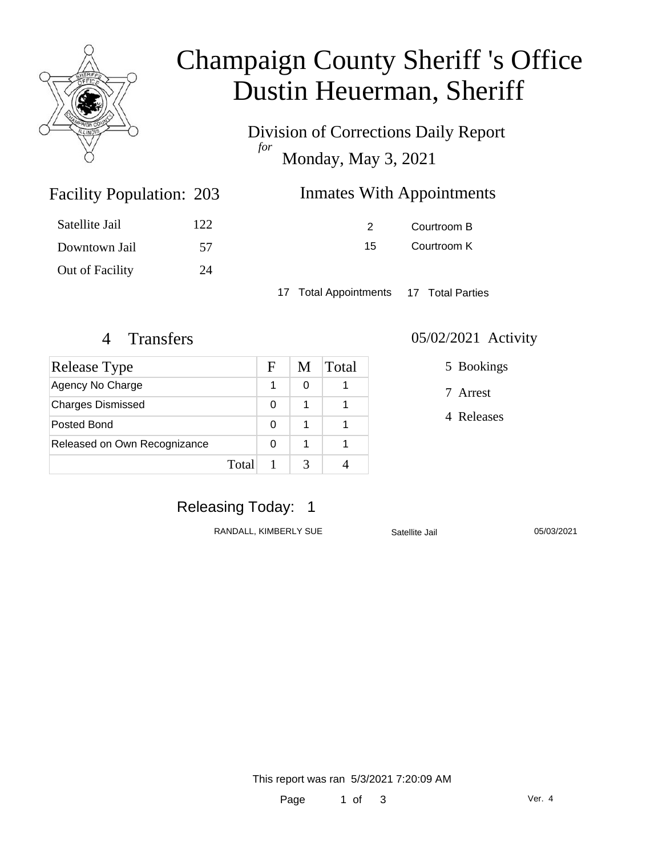

# Champaign County Sheriff 's Office Dustin Heuerman, Sheriff

Division of Corrections Daily Report *for* Monday, May 3, 2021

| 203 | <b>Inmates With Appointments</b> |
|-----|----------------------------------|
|-----|----------------------------------|

| Satellite Jail  | 122. |
|-----------------|------|
| Downtown Jail   | 57   |
| Out of Facility | 24   |

Facility Population: 203

2 Courtroom B 15 Courtroom K

17 Total Appointments 17 Total Parties

### 4 Transfers 05/02/2021 Activity

| <b>Release Type</b>          |       | F | M | Total |
|------------------------------|-------|---|---|-------|
| Agency No Charge             |       |   | ი |       |
| <b>Charges Dismissed</b>     |       | 0 |   |       |
| Posted Bond                  |       | 0 |   |       |
| Released on Own Recognizance |       | 0 |   |       |
|                              | Total |   |   |       |

#### 5 Bookings

7 Arrest

4 Releases

# Releasing Today: 1

RANDALL, KIMBERLY SUE Satellite Jail 05/03/2021

This report was ran 5/3/2021 7:20:09 AM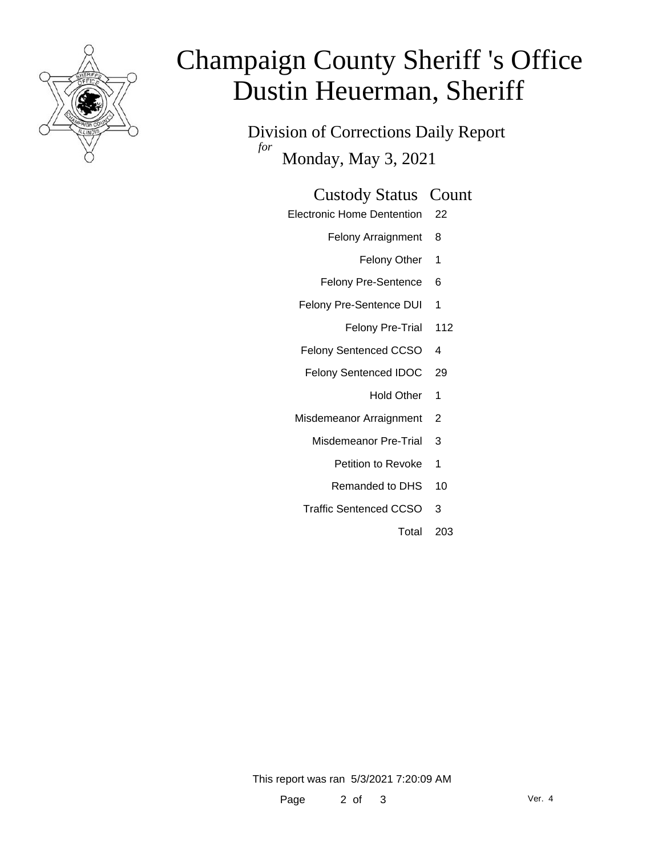

# Champaign County Sheriff 's Office Dustin Heuerman, Sheriff

Division of Corrections Daily Report *for* Monday, May 3, 2021

#### Custody Status Count

- Electronic Home Dentention 22
	- Felony Arraignment 8
		- Felony Other 1
	- Felony Pre-Sentence 6
	- Felony Pre-Sentence DUI 1
		- Felony Pre-Trial 112
	- Felony Sentenced CCSO 4
	- Felony Sentenced IDOC 29
		- Hold Other 1
	- Misdemeanor Arraignment 2
		- Misdemeanor Pre-Trial 3
			- Petition to Revoke 1
			- Remanded to DHS 10
		- Traffic Sentenced CCSO 3
			- Total 203

This report was ran 5/3/2021 7:20:09 AM